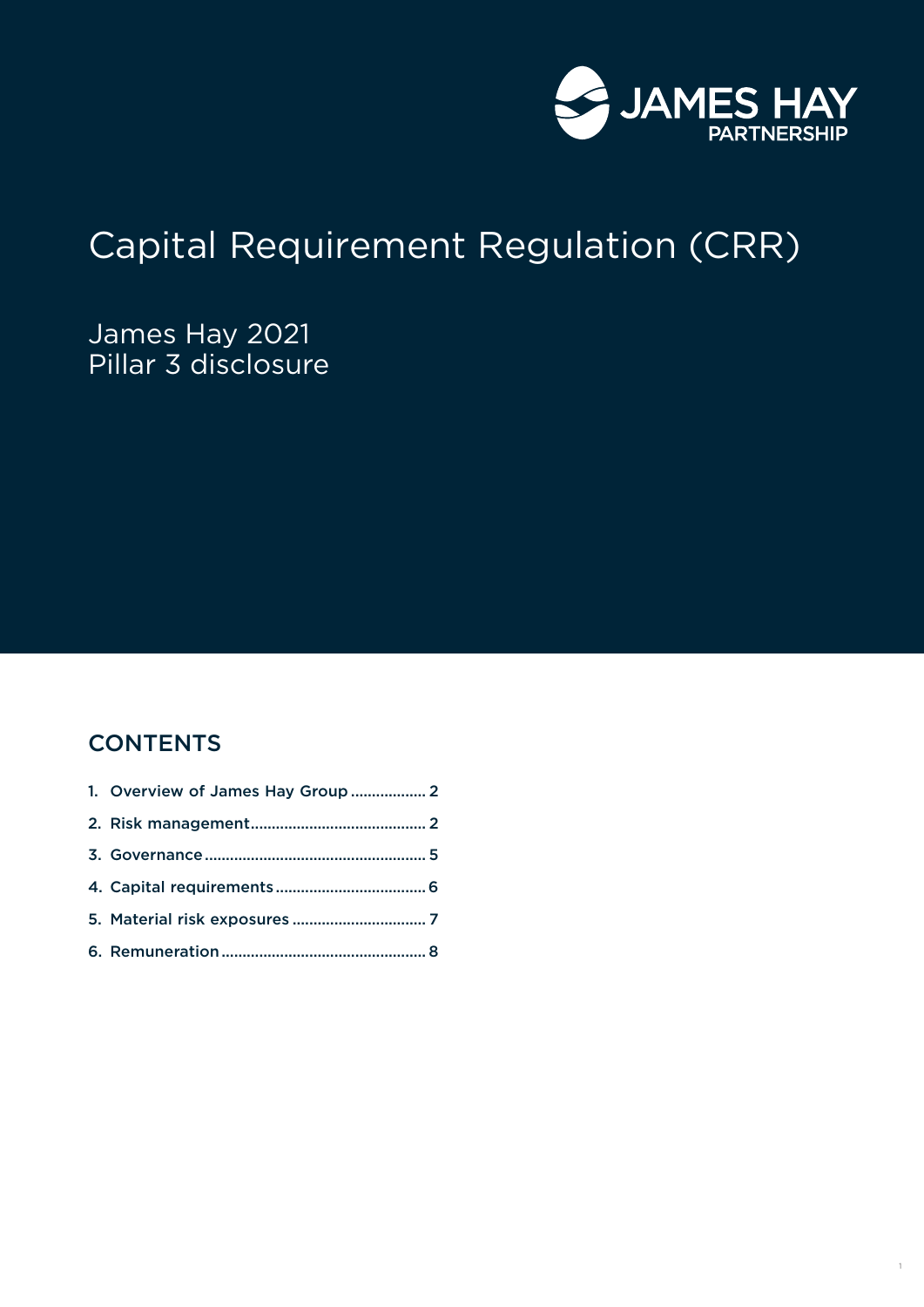

# Capital Requirement Regulation (CRR)

James Hay 2021 Pillar 3 disclosure

# **CONTENTS**

| 1. Overview of James Hay Group  2 |  |
|-----------------------------------|--|
|                                   |  |
|                                   |  |
|                                   |  |
|                                   |  |
|                                   |  |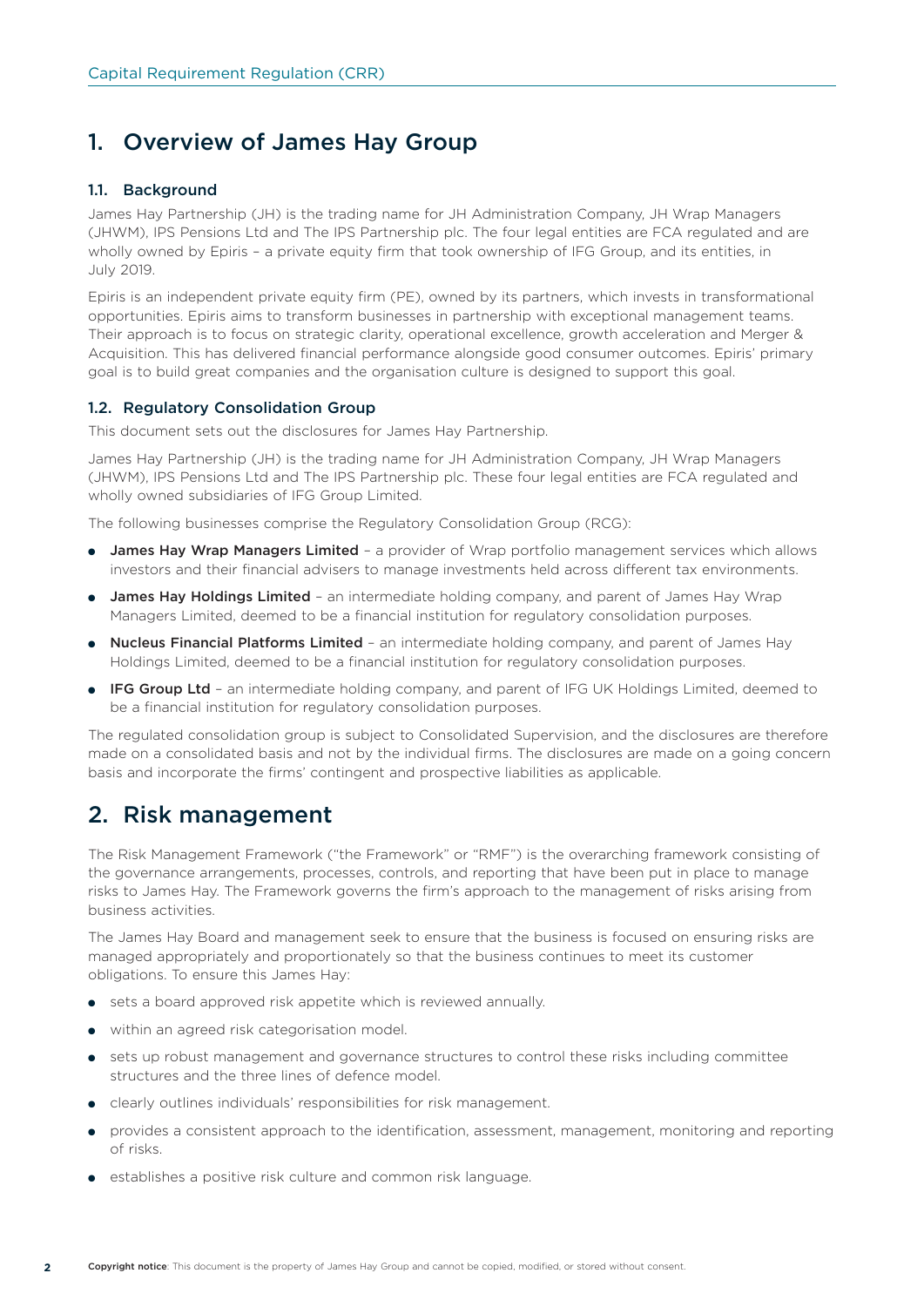# 1. Overview of James Hay Group

#### 1.1. Background

James Hay Partnership (JH) is the trading name for JH Administration Company, JH Wrap Managers (JHWM), IPS Pensions Ltd and The IPS Partnership plc. The four legal entities are FCA regulated and are wholly owned by Epiris – a private equity firm that took ownership of IFG Group, and its entities, in July 2019.

Epiris is an independent private equity firm (PE), owned by its partners, which invests in transformational opportunities. Epiris aims to transform businesses in partnership with exceptional management teams. Their approach is to focus on strategic clarity, operational excellence, growth acceleration and Merger & Acquisition. This has delivered financial performance alongside good consumer outcomes. Epiris' primary goal is to build great companies and the organisation culture is designed to support this goal.

#### 1.2. Regulatory Consolidation Group

This document sets out the disclosures for James Hay Partnership.

James Hay Partnership (JH) is the trading name for JH Administration Company, JH Wrap Managers (JHWM), IPS Pensions Ltd and The IPS Partnership plc. These four legal entities are FCA regulated and wholly owned subsidiaries of IFG Group Limited.

The following businesses comprise the Regulatory Consolidation Group (RCG):

- James Hay Wrap Managers Limited a provider of Wrap portfolio management services which allows investors and their financial advisers to manage investments held across different tax environments.
- James Hay Holdings Limited an intermediate holding company, and parent of James Hay Wrap Managers Limited, deemed to be a financial institution for regulatory consolidation purposes.
- Nucleus Financial Platforms Limited an intermediate holding company, and parent of James Hay Holdings Limited, deemed to be a financial institution for regulatory consolidation purposes.
- IFG Group Ltd an intermediate holding company, and parent of IFG UK Holdings Limited, deemed to be a financial institution for regulatory consolidation purposes.

The regulated consolidation group is subject to Consolidated Supervision, and the disclosures are therefore made on a consolidated basis and not by the individual firms. The disclosures are made on a going concern basis and incorporate the firms' contingent and prospective liabilities as applicable.

### 2. Risk management

The Risk Management Framework ("the Framework" or "RMF") is the overarching framework consisting of the governance arrangements, processes, controls, and reporting that have been put in place to manage risks to James Hay. The Framework governs the firm's approach to the management of risks arising from business activities.

The James Hay Board and management seek to ensure that the business is focused on ensuring risks are managed appropriately and proportionately so that the business continues to meet its customer obligations. To ensure this James Hay:

- sets a board approved risk appetite which is reviewed annually.
- within an agreed risk categorisation model.
- sets up robust management and governance structures to control these risks including committee structures and the three lines of defence model.
- clearly outlines individuals' responsibilities for risk management.
- provides a consistent approach to the identification, assessment, management, monitoring and reporting of risks.
- establishes a positive risk culture and common risk language.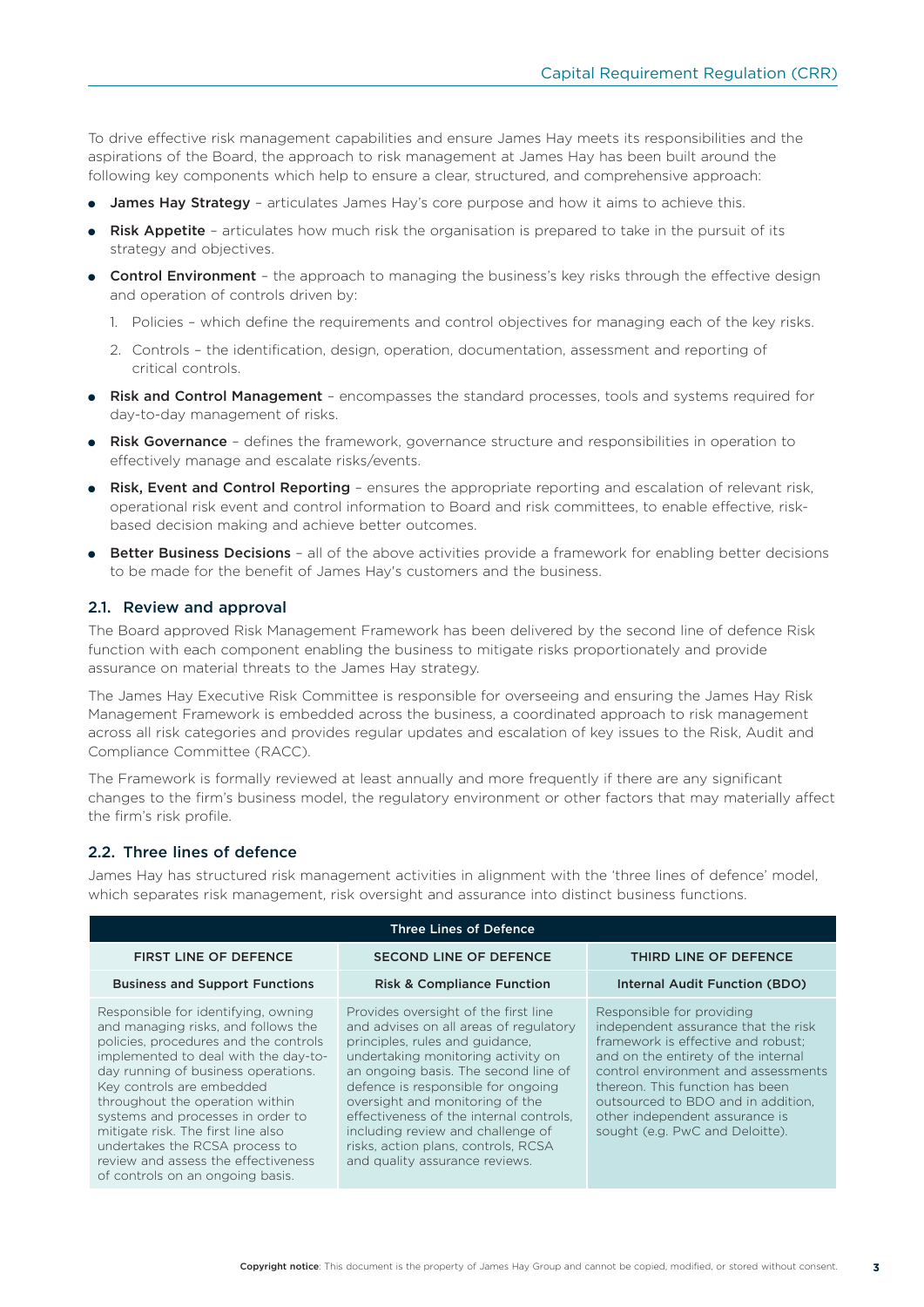To drive effective risk management capabilities and ensure James Hay meets its responsibilities and the aspirations of the Board, the approach to risk management at James Hay has been built around the following key components which help to ensure a clear, structured, and comprehensive approach:

- **James Hay Strategy** articulates James Hay's core purpose and how it aims to achieve this.
- **Risk Appetite** articulates how much risk the organisation is prepared to take in the pursuit of its strategy and objectives.
- **Control Environment** the approach to managing the business's key risks through the effective design and operation of controls driven by:
	- 1. Policies which define the requirements and control objectives for managing each of the key risks.
	- 2. Controls the identification, design, operation, documentation, assessment and reporting of critical controls.
- Risk and Control Management encompasses the standard processes, tools and systems required for day-to-day management of risks.
- Risk Governance defines the framework, governance structure and responsibilities in operation to effectively manage and escalate risks/events.
- Risk, Event and Control Reporting ensures the appropriate reporting and escalation of relevant risk, operational risk event and control information to Board and risk committees, to enable effective, riskbased decision making and achieve better outcomes.
- Better Business Decisions all of the above activities provide a framework for enabling better decisions to be made for the benefit of James Hay's customers and the business.

#### 2.1. Review and approval

The Board approved Risk Management Framework has been delivered by the second line of defence Risk function with each component enabling the business to mitigate risks proportionately and provide assurance on material threats to the James Hay strategy.

The James Hay Executive Risk Committee is responsible for overseeing and ensuring the James Hay Risk Management Framework is embedded across the business, a coordinated approach to risk management across all risk categories and provides regular updates and escalation of key issues to the Risk, Audit and Compliance Committee (RACC).

The Framework is formally reviewed at least annually and more frequently if there are any significant changes to the firm's business model, the regulatory environment or other factors that may materially affect the firm's risk profile.

#### 2.2. Three lines of defence

James Hay has structured risk management activities in alignment with the 'three lines of defence' model, which separates risk management, risk oversight and assurance into distinct business functions.

| <b>Three Lines of Defence</b>                                                                                                                                                                                                                                                                                                                                                                                                                              |                                                                                                                                                                                                                                                                                                                                                                                                                                   |                                                                                                                                                                                                                                                                                                                                    |  |  |  |  |  |
|------------------------------------------------------------------------------------------------------------------------------------------------------------------------------------------------------------------------------------------------------------------------------------------------------------------------------------------------------------------------------------------------------------------------------------------------------------|-----------------------------------------------------------------------------------------------------------------------------------------------------------------------------------------------------------------------------------------------------------------------------------------------------------------------------------------------------------------------------------------------------------------------------------|------------------------------------------------------------------------------------------------------------------------------------------------------------------------------------------------------------------------------------------------------------------------------------------------------------------------------------|--|--|--|--|--|
| <b>FIRST LINE OF DEFENCE</b>                                                                                                                                                                                                                                                                                                                                                                                                                               | <b>SECOND LINE OF DEFENCE</b>                                                                                                                                                                                                                                                                                                                                                                                                     | THIRD LINE OF DEFENCE                                                                                                                                                                                                                                                                                                              |  |  |  |  |  |
| <b>Business and Support Functions</b>                                                                                                                                                                                                                                                                                                                                                                                                                      | <b>Risk &amp; Compliance Function</b>                                                                                                                                                                                                                                                                                                                                                                                             | Internal Audit Function (BDO)                                                                                                                                                                                                                                                                                                      |  |  |  |  |  |
| Responsible for identifying, owning<br>and managing risks, and follows the<br>policies, procedures and the controls<br>implemented to deal with the day-to-<br>day running of business operations.<br>Key controls are embedded<br>throughout the operation within<br>systems and processes in order to<br>mitigate risk. The first line also<br>undertakes the RCSA process to<br>review and assess the effectiveness<br>of controls on an ongoing basis. | Provides oversight of the first line<br>and advises on all areas of regulatory<br>principles, rules and guidance,<br>undertaking monitoring activity on<br>an ongoing basis. The second line of<br>defence is responsible for ongoing<br>oversight and monitoring of the<br>effectiveness of the internal controls,<br>including review and challenge of<br>risks, action plans, controls, RCSA<br>and quality assurance reviews. | Responsible for providing<br>independent assurance that the risk<br>framework is effective and robust:<br>and on the entirety of the internal<br>control environment and assessments<br>thereon. This function has been<br>outsourced to BDO and in addition.<br>other independent assurance is<br>sought (e.g. PwC and Deloitte). |  |  |  |  |  |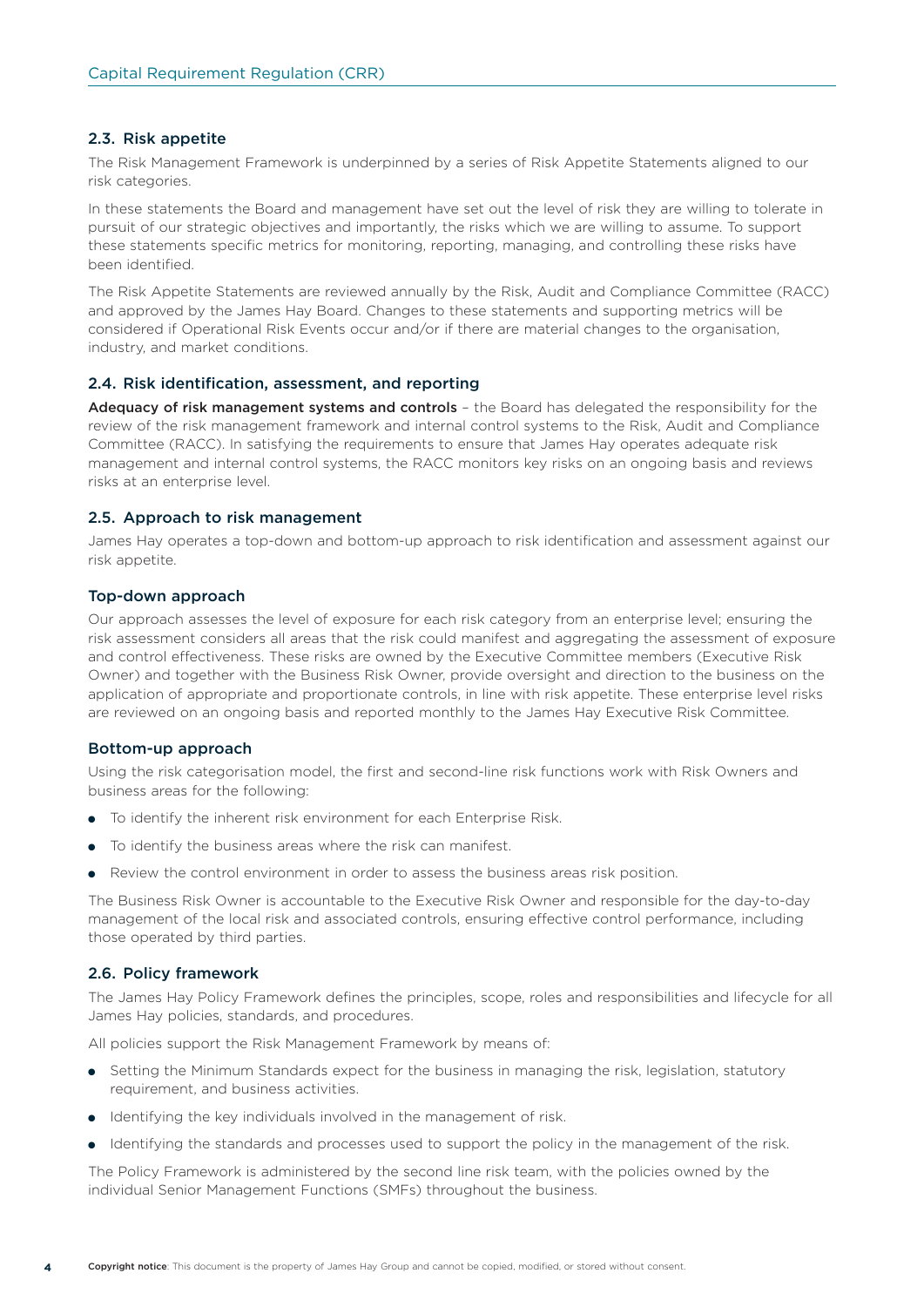#### 2.3. Risk appetite

The Risk Management Framework is underpinned by a series of Risk Appetite Statements aligned to our risk categories.

In these statements the Board and management have set out the level of risk they are willing to tolerate in pursuit of our strategic objectives and importantly, the risks which we are willing to assume. To support these statements specific metrics for monitoring, reporting, managing, and controlling these risks have been identified.

The Risk Appetite Statements are reviewed annually by the Risk, Audit and Compliance Committee (RACC) and approved by the James Hay Board. Changes to these statements and supporting metrics will be considered if Operational Risk Events occur and/or if there are material changes to the organisation, industry, and market conditions.

#### 2.4. Risk identification, assessment, and reporting

Adequacy of risk management systems and controls - the Board has delegated the responsibility for the review of the risk management framework and internal control systems to the Risk, Audit and Compliance Committee (RACC). In satisfying the requirements to ensure that James Hay operates adequate risk management and internal control systems, the RACC monitors key risks on an ongoing basis and reviews risks at an enterprise level.

#### 2.5. Approach to risk management

James Hay operates a top-down and bottom-up approach to risk identification and assessment against our risk appetite.

#### Top-down approach

Our approach assesses the level of exposure for each risk category from an enterprise level; ensuring the risk assessment considers all areas that the risk could manifest and aggregating the assessment of exposure and control effectiveness. These risks are owned by the Executive Committee members (Executive Risk Owner) and together with the Business Risk Owner, provide oversight and direction to the business on the application of appropriate and proportionate controls, in line with risk appetite. These enterprise level risks are reviewed on an ongoing basis and reported monthly to the James Hay Executive Risk Committee.

#### Bottom-up approach

Using the risk categorisation model, the first and second-line risk functions work with Risk Owners and business areas for the following:

- To identify the inherent risk environment for each Enterprise Risk.
- To identify the business areas where the risk can manifest.
- Review the control environment in order to assess the business areas risk position.

The Business Risk Owner is accountable to the Executive Risk Owner and responsible for the day-to-day management of the local risk and associated controls, ensuring effective control performance, including those operated by third parties.

#### 2.6. Policy framework

The James Hay Policy Framework defines the principles, scope, roles and responsibilities and lifecycle for all James Hay policies, standards, and procedures.

All policies support the Risk Management Framework by means of:

- Setting the Minimum Standards expect for the business in managing the risk, legislation, statutory requirement, and business activities.
- Identifying the key individuals involved in the management of risk.
- Identifying the standards and processes used to support the policy in the management of the risk.

The Policy Framework is administered by the second line risk team, with the policies owned by the individual Senior Management Functions (SMFs) throughout the business.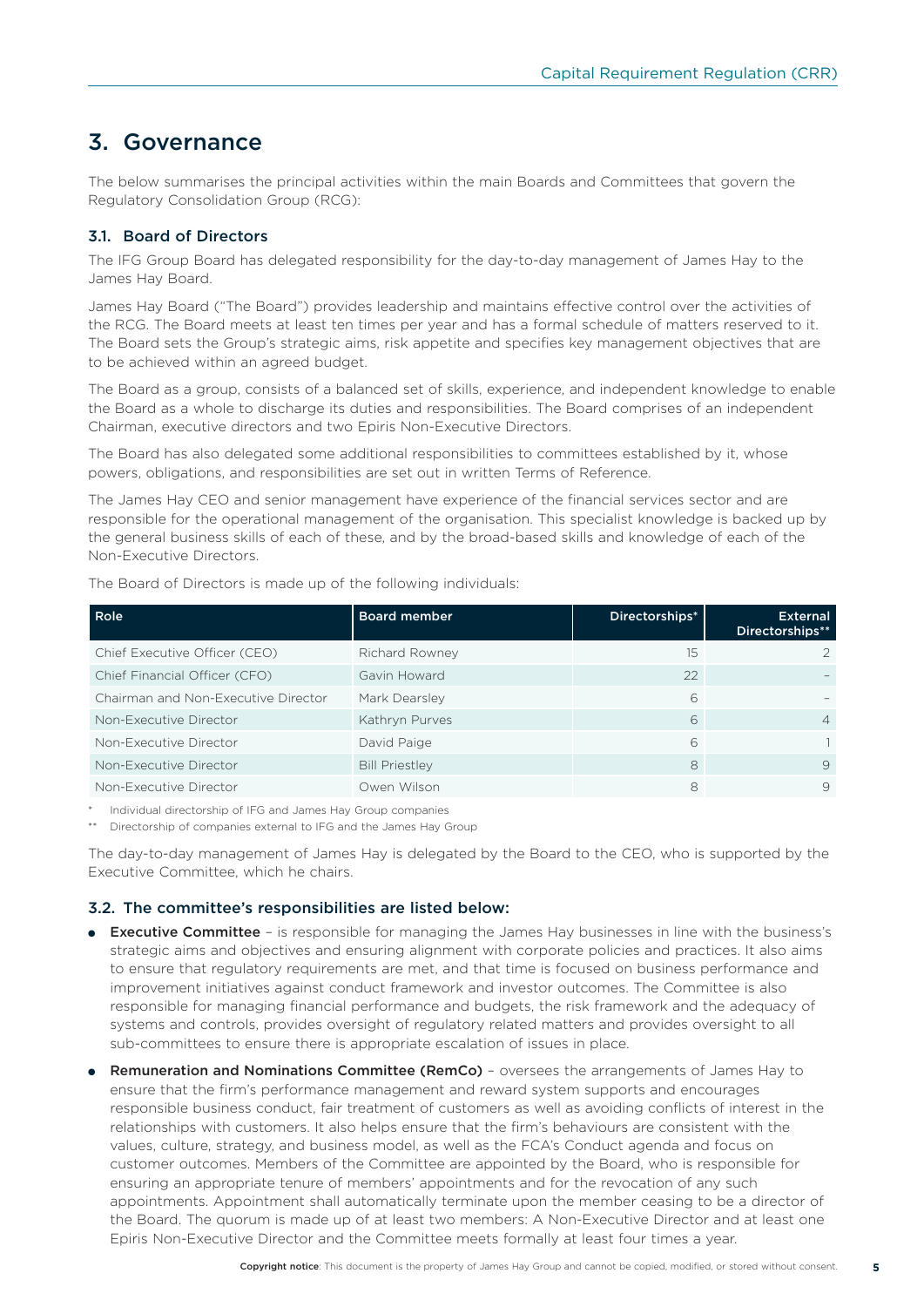# 3. Governance

The below summarises the principal activities within the main Boards and Committees that govern the Regulatory Consolidation Group (RCG):

#### 3.1. Board of Directors

The IFG Group Board has delegated responsibility for the day-to-day management of James Hay to the James Hay Board.

James Hay Board ("The Board") provides leadership and maintains effective control over the activities of the RCG. The Board meets at least ten times per year and has a formal schedule of matters reserved to it. The Board sets the Group's strategic aims, risk appetite and specifies key management objectives that are to be achieved within an agreed budget.

The Board as a group, consists of a balanced set of skills, experience, and independent knowledge to enable the Board as a whole to discharge its duties and responsibilities. The Board comprises of an independent Chairman, executive directors and two Epiris Non-Executive Directors.

The Board has also delegated some additional responsibilities to committees established by it, whose powers, obligations, and responsibilities are set out in written Terms of Reference.

The James Hay CEO and senior management have experience of the financial services sector and are responsible for the operational management of the organisation. This specialist knowledge is backed up by the general business skills of each of these, and by the broad-based skills and knowledge of each of the Non-Executive Directors.

| Role                                | <b>Board member</b>   | Directorships* | <b>External</b><br>Directorships** |
|-------------------------------------|-----------------------|----------------|------------------------------------|
| Chief Executive Officer (CEO)       | Richard Rowney        | 15             | $\mathfrak{D}$                     |
| Chief Financial Officer (CFO)       | Gavin Howard          | 22             |                                    |
| Chairman and Non-Executive Director | Mark Dearsley         | 6              |                                    |
| Non-Executive Director              | Kathryn Purves        | 6              | $\overline{4}$                     |
| Non-Executive Director              | David Paige           | 6              |                                    |
| Non-Executive Director              | <b>Bill Priestley</b> | 8              | 9                                  |
| Non-Executive Director              | Owen Wilson           | 8              | 9                                  |

The Board of Directors is made up of the following individuals:

Individual directorship of IFG and James Hay Group companies

\*\* Directorship of companies external to IFG and the James Hay Group

The day-to-day management of James Hay is delegated by the Board to the CEO, who is supported by the Executive Committee, which he chairs.

#### 3.2. The committee's responsibilities are listed below:

- Executive Committee is responsible for managing the James Hay businesses in line with the business's strategic aims and objectives and ensuring alignment with corporate policies and practices. It also aims to ensure that regulatory requirements are met, and that time is focused on business performance and improvement initiatives against conduct framework and investor outcomes. The Committee is also responsible for managing financial performance and budgets, the risk framework and the adequacy of systems and controls, provides oversight of regulatory related matters and provides oversight to all sub-committees to ensure there is appropriate escalation of issues in place.
- Remuneration and Nominations Committee (RemCo) oversees the arrangements of James Hay to ensure that the firm's performance management and reward system supports and encourages responsible business conduct, fair treatment of customers as well as avoiding conflicts of interest in the relationships with customers. It also helps ensure that the firm's behaviours are consistent with the values, culture, strategy, and business model, as well as the FCA's Conduct agenda and focus on customer outcomes. Members of the Committee are appointed by the Board, who is responsible for ensuring an appropriate tenure of members' appointments and for the revocation of any such appointments. Appointment shall automatically terminate upon the member ceasing to be a director of the Board. The quorum is made up of at least two members: A Non-Executive Director and at least one Epiris Non-Executive Director and the Committee meets formally at least four times a year.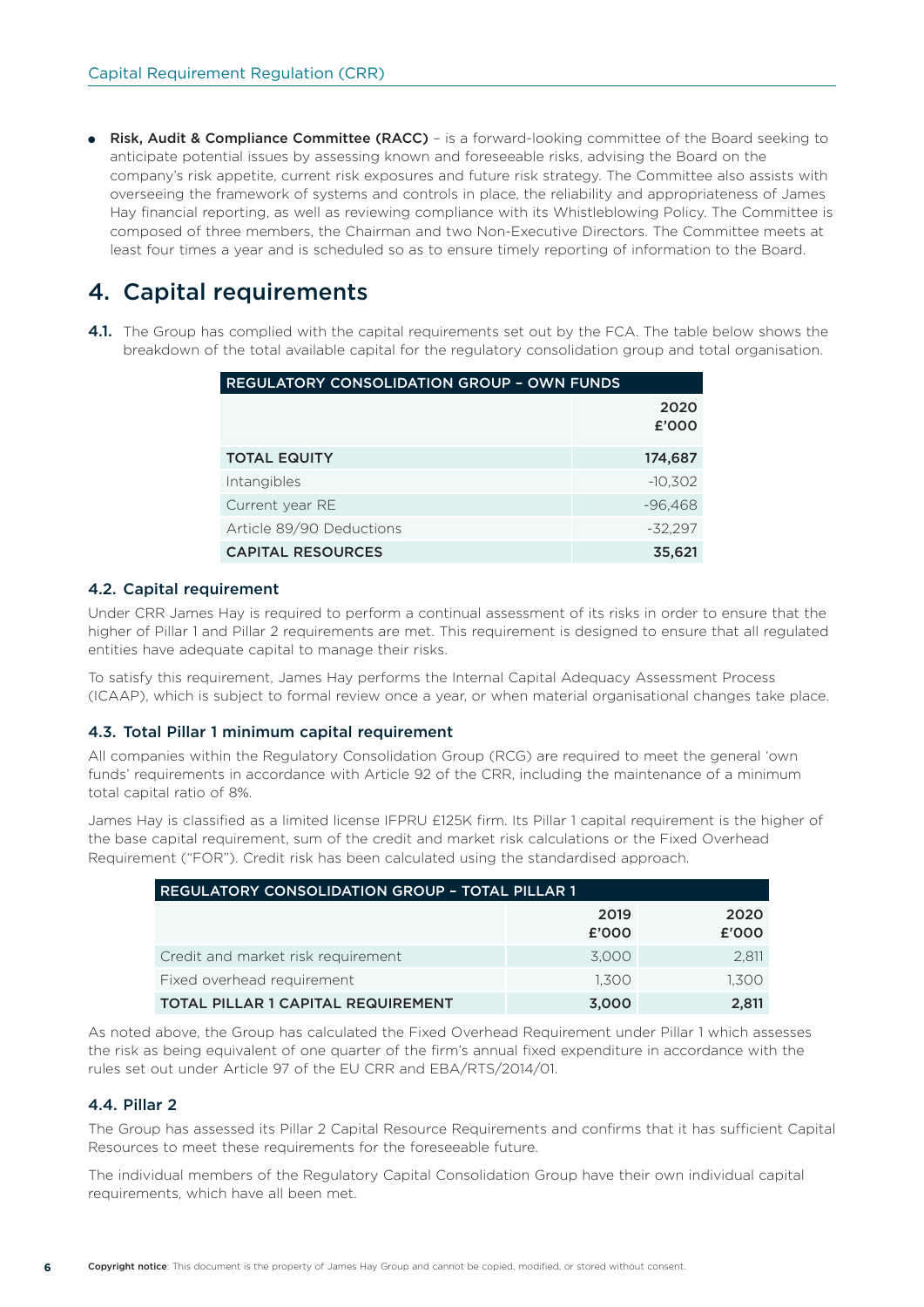● Risk, Audit & Compliance Committee (RACC) – is a forward-looking committee of the Board seeking to anticipate potential issues by assessing known and foreseeable risks, advising the Board on the company's risk appetite, current risk exposures and future risk strategy. The Committee also assists with overseeing the framework of systems and controls in place, the reliability and appropriateness of James Hay financial reporting, as well as reviewing compliance with its Whistleblowing Policy. The Committee is composed of three members, the Chairman and two Non-Executive Directors. The Committee meets at least four times a year and is scheduled so as to ensure timely reporting of information to the Board.

# 4. Capital requirements

4.1. The Group has complied with the capital requirements set out by the FCA. The table below shows the breakdown of the total available capital for the regulatory consolidation group and total organisation.

| <b>REGULATORY CONSOLIDATION GROUP - OWN FUNDS</b> |               |  |  |
|---------------------------------------------------|---------------|--|--|
|                                                   | 2020<br>£'000 |  |  |
| <b>TOTAL EQUITY</b>                               | 174,687       |  |  |
|                                                   |               |  |  |
| Intangibles                                       | $-10,302$     |  |  |
| Current year RE                                   | $-96,468$     |  |  |
| Article 89/90 Deductions                          | $-32.297$     |  |  |
| <b>CAPITAL RESOURCES</b>                          | 35,621        |  |  |

#### 4.2. Capital requirement

Under CRR James Hay is required to perform a continual assessment of its risks in order to ensure that the higher of Pillar 1 and Pillar 2 requirements are met. This requirement is designed to ensure that all regulated entities have adequate capital to manage their risks.

To satisfy this requirement, James Hay performs the Internal Capital Adequacy Assessment Process (ICAAP), which is subject to formal review once a year, or when material organisational changes take place.

#### 4.3. Total Pillar 1 minimum capital requirement

All companies within the Regulatory Consolidation Group (RCG) are required to meet the general 'own funds' requirements in accordance with Article 92 of the CRR, including the maintenance of a minimum total capital ratio of 8%.

James Hay is classified as a limited license IFPRU £125K firm. Its Pillar 1 capital requirement is the higher of the base capital requirement, sum of the credit and market risk calculations or the Fixed Overhead Requirement ("FOR"). Credit risk has been calculated using the standardised approach.

| REGULATORY CONSOLIDATION GROUP - TOTAL PILLAR 1 |               |               |  |  |
|-------------------------------------------------|---------------|---------------|--|--|
|                                                 | 2019<br>£'000 | 2020<br>£'000 |  |  |
| Credit and market risk requirement              | 3.000         | 2,811         |  |  |
| Fixed overhead requirement                      | 1.300         | 1.300         |  |  |
| <b>TOTAL PILLAR 1 CAPITAL REQUIREMENT</b>       | 3.000         | 2.811         |  |  |

As noted above, the Group has calculated the Fixed Overhead Requirement under Pillar 1 which assesses the risk as being equivalent of one quarter of the firm's annual fixed expenditure in accordance with the rules set out under Article 97 of the EU CRR and EBA/RTS/2014/01.

#### 4.4. Pillar 2

The Group has assessed its Pillar 2 Capital Resource Requirements and confirms that it has sufficient Capital Resources to meet these requirements for the foreseeable future.

The individual members of the Regulatory Capital Consolidation Group have their own individual capital requirements, which have all been met.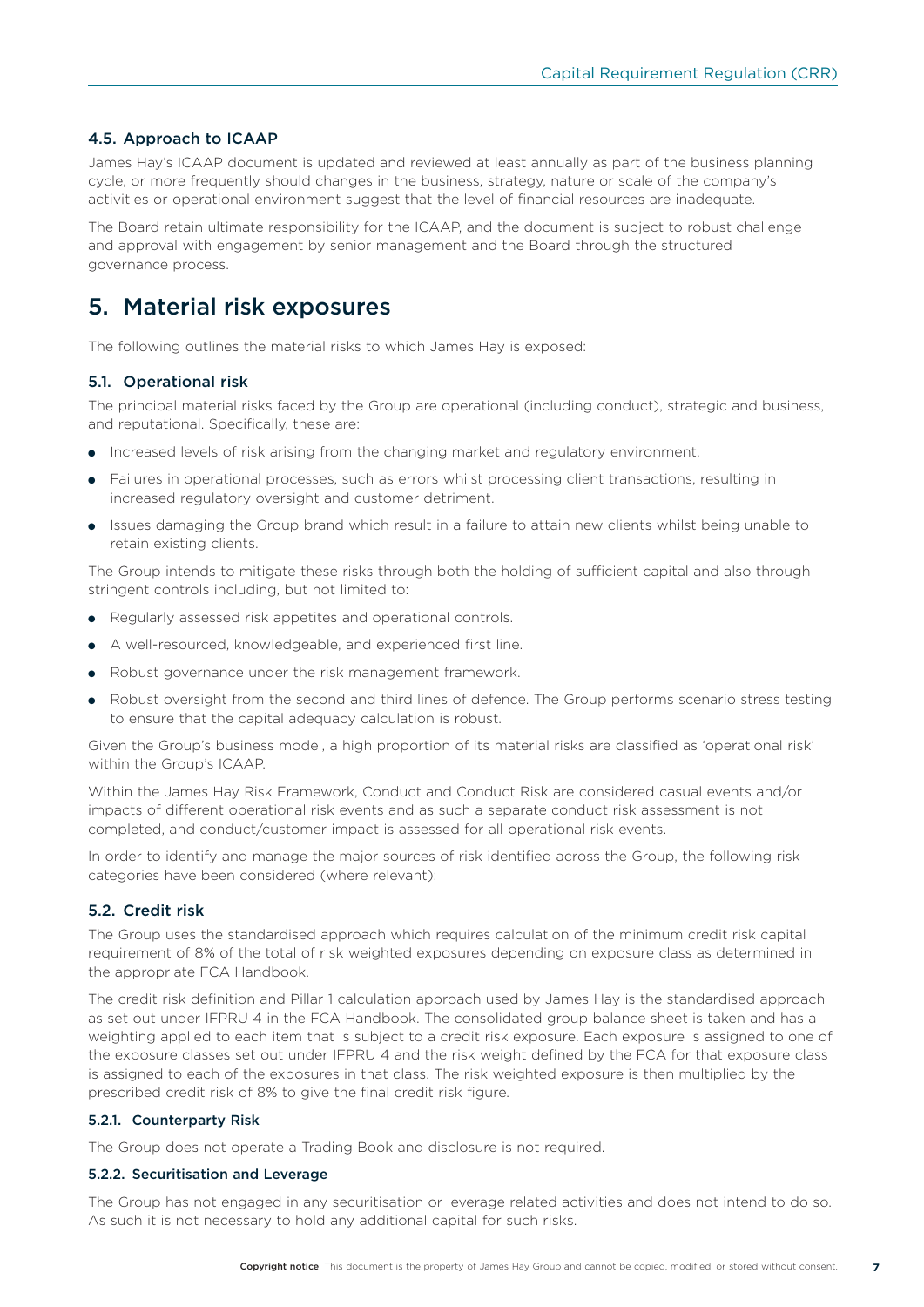#### 4.5. Approach to ICAAP

James Hay's ICAAP document is updated and reviewed at least annually as part of the business planning cycle, or more frequently should changes in the business, strategy, nature or scale of the company's activities or operational environment suggest that the level of financial resources are inadequate.

The Board retain ultimate responsibility for the ICAAP, and the document is subject to robust challenge and approval with engagement by senior management and the Board through the structured governance process.

## 5. Material risk exposures

The following outlines the material risks to which James Hay is exposed:

#### 5.1. Operational risk

The principal material risks faced by the Group are operational (including conduct), strategic and business, and reputational. Specifically, these are:

- Increased levels of risk arising from the changing market and regulatory environment.
- Failures in operational processes, such as errors whilst processing client transactions, resulting in increased regulatory oversight and customer detriment.
- Issues damaging the Group brand which result in a failure to attain new clients whilst being unable to retain existing clients.

The Group intends to mitigate these risks through both the holding of sufficient capital and also through stringent controls including, but not limited to:

- Regularly assessed risk appetites and operational controls.
- A well-resourced, knowledgeable, and experienced first line.
- Robust governance under the risk management framework.
- Robust oversight from the second and third lines of defence. The Group performs scenario stress testing to ensure that the capital adequacy calculation is robust.

Given the Group's business model, a high proportion of its material risks are classified as 'operational risk' within the Group's ICAAP.

Within the James Hay Risk Framework, Conduct and Conduct Risk are considered casual events and/or impacts of different operational risk events and as such a separate conduct risk assessment is not completed, and conduct/customer impact is assessed for all operational risk events.

In order to identify and manage the major sources of risk identified across the Group, the following risk categories have been considered (where relevant):

#### 5.2. Credit risk

The Group uses the standardised approach which requires calculation of the minimum credit risk capital requirement of 8% of the total of risk weighted exposures depending on exposure class as determined in the appropriate FCA Handbook.

The credit risk definition and Pillar 1 calculation approach used by James Hay is the standardised approach as set out under IFPRU 4 in the FCA Handbook. The consolidated group balance sheet is taken and has a weighting applied to each item that is subject to a credit risk exposure. Each exposure is assigned to one of the exposure classes set out under IFPRU 4 and the risk weight defined by the FCA for that exposure class is assigned to each of the exposures in that class. The risk weighted exposure is then multiplied by the prescribed credit risk of 8% to give the final credit risk figure.

#### 5.2.1. Counterparty Risk

The Group does not operate a Trading Book and disclosure is not required.

#### 5.2.2. Securitisation and Leverage

The Group has not engaged in any securitisation or leverage related activities and does not intend to do so. As such it is not necessary to hold any additional capital for such risks.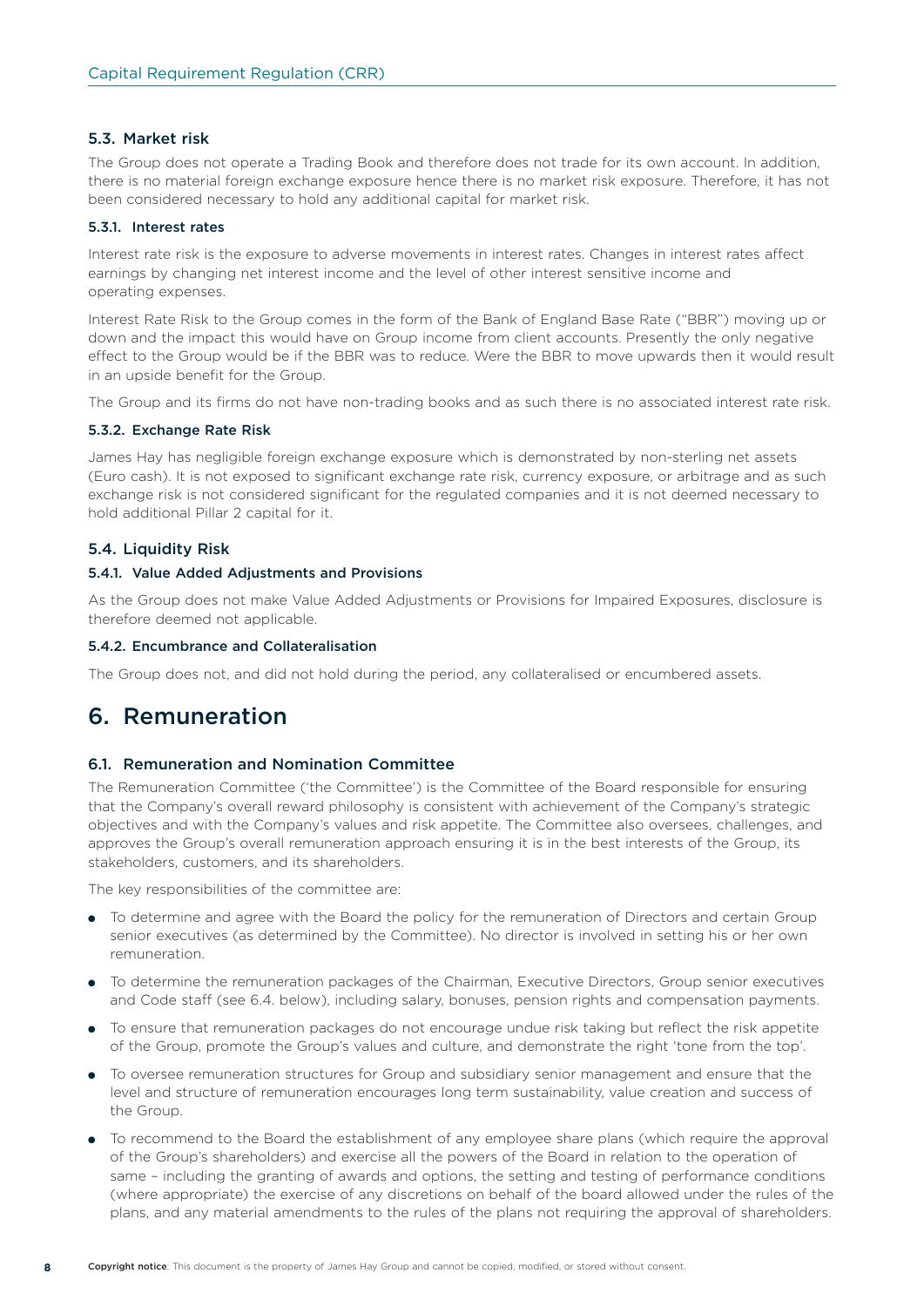#### 5.3. Market risk

The Group does not operate a Trading Book and therefore does not trade for its own account. In addition, there is no material foreign exchange exposure hence there is no market risk exposure. Therefore, it has not been considered necessary to hold any additional capital for market risk.

#### 5.3.1. Interest rates

Interest rate risk is the exposure to adverse movements in interest rates. Changes in interest rates affect earnings by changing net interest income and the level of other interest sensitive income and operating expenses.

Interest Rate Risk to the Group comes in the form of the Bank of England Base Rate ("BBR") moving up or down and the impact this would have on Group income from client accounts. Presently the only negative effect to the Group would be if the BBR was to reduce. Were the BBR to move upwards then it would result in an upside benefit for the Group.

The Group and its firms do not have non-trading books and as such there is no associated interest rate risk.

#### 5.3.2. Exchange Rate Risk

James Hay has negligible foreign exchange exposure which is demonstrated by non-sterling net assets (Euro cash). It is not exposed to significant exchange rate risk, currency exposure, or arbitrage and as such exchange risk is not considered significant for the regulated companies and it is not deemed necessary to hold additional Pillar 2 capital for it.

#### 5.4. Liquidity Risk

#### 5.4.1. Value Added Adjustments and Provisions

As the Group does not make Value Added Adjustments or Provisions for Impaired Exposures, disclosure is therefore deemed not applicable.

#### 5.4.2. Encumbrance and Collateralisation

The Group does not, and did not hold during the period, any collateralised or encumbered assets.

### 6. Remuneration

#### 6.1. Remuneration and Nomination Committee

The Remuneration Committee ('the Committee') is the Committee of the Board responsible for ensuring that the Company's overall reward philosophy is consistent with achievement of the Company's strategic objectives and with the Company's values and risk appetite. The Committee also oversees, challenges, and approves the Group's overall remuneration approach ensuring it is in the best interests of the Group, its stakeholders, customers, and its shareholders.

The key responsibilities of the committee are:

- To determine and agree with the Board the policy for the remuneration of Directors and certain Group senior executives (as determined by the Committee). No director is involved in setting his or her own remuneration.
- To determine the remuneration packages of the Chairman, Executive Directors, Group senior executives and Code staff (see 6.4. below), including salary, bonuses, pension rights and compensation payments.
- To ensure that remuneration packages do not encourage undue risk taking but reflect the risk appetite of the Group, promote the Group's values and culture, and demonstrate the right 'tone from the top'.
- To oversee remuneration structures for Group and subsidiary senior management and ensure that the level and structure of remuneration encourages long term sustainability, value creation and success of the Group.
- To recommend to the Board the establishment of any employee share plans (which require the approval of the Group's shareholders) and exercise all the powers of the Board in relation to the operation of same – including the granting of awards and options, the setting and testing of performance conditions (where appropriate) the exercise of any discretions on behalf of the board allowed under the rules of the plans, and any material amendments to the rules of the plans not requiring the approval of shareholders.